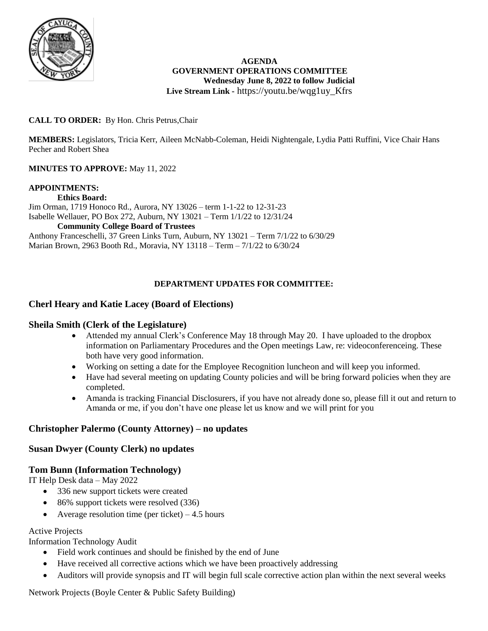

### **AGENDA GOVERNMENT OPERATIONS COMMITTEE Wednesday June 8, 2022 to follow Judicial Live Stream Link -** https://youtu.be/wqg1uy\_Kfrs

## **CALL TO ORDER:** By Hon. Chris Petrus,Chair

**MEMBERS:** Legislators, Tricia Kerr, Aileen McNabb-Coleman, Heidi Nightengale, Lydia Patti Ruffini, Vice Chair Hans Pecher and Robert Shea

## **MINUTES TO APPROVE:** May 11, 2022

### **APPOINTMENTS:**

**Ethics Board:** Jim Orman, 1719 Honoco Rd., Aurora, NY 13026 – term 1-1-22 to 12-31-23 Isabelle Wellauer, PO Box 272, Auburn, NY 13021 – Term 1/1/22 to 12/31/24 **Community College Board of Trustees** Anthony Franceschelli, 37 Green Links Turn, Auburn, NY 13021 – Term 7/1/22 to 6/30/29 Marian Brown, 2963 Booth Rd., Moravia, NY 13118 – Term – 7/1/22 to 6/30/24

## **DEPARTMENT UPDATES FOR COMMITTEE:**

## **Cherl Heary and Katie Lacey (Board of Elections)**

### **Sheila Smith (Clerk of the Legislature)**

- Attended my annual Clerk's Conference May 18 through May 20. I have uploaded to the dropbox information on Parliamentary Procedures and the Open meetings Law, re: videoconferenceing. These both have very good information.
- Working on setting a date for the Employee Recognition luncheon and will keep you informed.
- Have had several meeting on updating County policies and will be bring forward policies when they are completed.
- Amanda is tracking Financial Disclosurers, if you have not already done so, please fill it out and return to Amanda or me, if you don't have one please let us know and we will print for you

## **Christopher Palermo (County Attorney) – no updates**

## **Susan Dwyer (County Clerk) no updates**

### **Tom Bunn (Information Technology)**

IT Help Desk data – May 2022

- 336 new support tickets were created
- 86% support tickets were resolved (336)
- Average resolution time (per ticket)  $-4.5$  hours

### Active Projects

Information Technology Audit

- Field work continues and should be finished by the end of June
- Have received all corrective actions which we have been proactively addressing
- Auditors will provide synopsis and IT will begin full scale corrective action plan within the next several weeks

Network Projects (Boyle Center & Public Safety Building)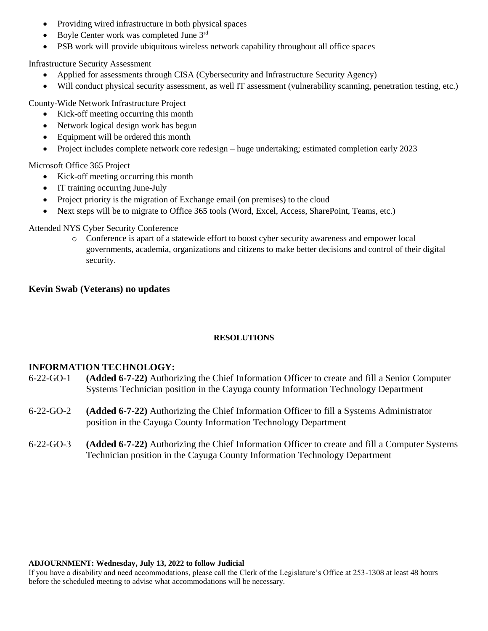- Providing wired infrastructure in both physical spaces
- Boyle Center work was completed June 3rd
- PSB work will provide ubiquitous wireless network capability throughout all office spaces

Infrastructure Security Assessment

- Applied for assessments through CISA (Cybersecurity and Infrastructure Security Agency)
- Will conduct physical security assessment, as well IT assessment (vulnerability scanning, penetration testing, etc.)

County-Wide Network Infrastructure Project

- Kick-off meeting occurring this month
- Network logical design work has begun
- Equipment will be ordered this month
- Project includes complete network core redesign huge undertaking; estimated completion early 2023

Microsoft Office 365 Project

- Kick-off meeting occurring this month
- IT training occurring June-July
- Project priority is the migration of Exchange email (on premises) to the cloud
- Next steps will be to migrate to Office 365 tools (Word, Excel, Access, SharePoint, Teams, etc.)

Attended NYS Cyber Security Conference

o Conference is apart of a statewide effort to boost cyber security awareness and empower local governments, academia, organizations and citizens to make better decisions and control of their digital security.

# **Kevin Swab (Veterans) no updates**

## **RESOLUTIONS**

## **INFORMATION TECHNOLOGY:**

- 6-22-GO-1 **(Added 6-7-22)** Authorizing the Chief Information Officer to create and fill a Senior Computer Systems Technician position in the Cayuga county Information Technology Department
- 6-22-GO-2 **(Added 6-7-22)** Authorizing the Chief Information Officer to fill a Systems Administrator position in the Cayuga County Information Technology Department
- 6-22-GO-3 **(Added 6-7-22)** Authorizing the Chief Information Officer to create and fill a Computer Systems Technician position in the Cayuga County Information Technology Department

### **ADJOURNMENT: Wednesday, July 13, 2022 to follow Judicial**

If you have a disability and need accommodations, please call the Clerk of the Legislature's Office at 253-1308 at least 48 hours before the scheduled meeting to advise what accommodations will be necessary.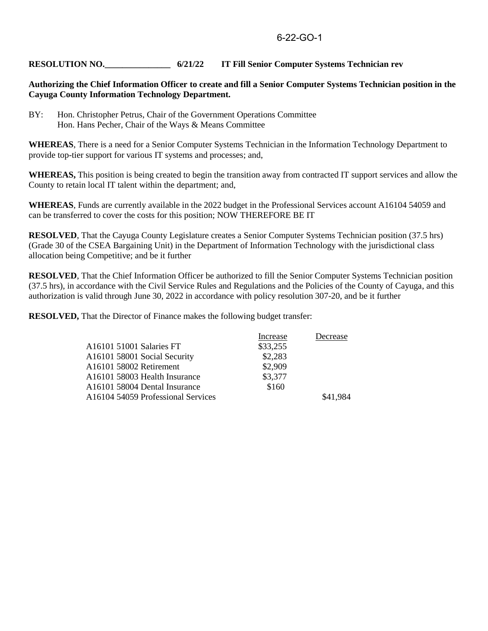## **RESOLUTION NO.\_\_\_\_\_\_\_\_\_\_\_\_\_\_\_ 6/21/22 IT Fill Senior Computer Systems Technician rev**

### **Authorizing the Chief Information Officer to create and fill a Senior Computer Systems Technician position in the Cayuga County Information Technology Department.**

BY: Hon. Christopher Petrus, Chair of the Government Operations Committee Hon. Hans Pecher, Chair of the Ways & Means Committee

**WHEREAS**, There is a need for a Senior Computer Systems Technician in the Information Technology Department to provide top-tier support for various IT systems and processes; and,

**WHEREAS,** This position is being created to begin the transition away from contracted IT support services and allow the County to retain local IT talent within the department; and,

**WHEREAS**, Funds are currently available in the 2022 budget in the Professional Services account A16104 54059 and can be transferred to cover the costs for this position; NOW THEREFORE BE IT

**RESOLVED**, That the Cayuga County Legislature creates a Senior Computer Systems Technician position (37.5 hrs) (Grade 30 of the CSEA Bargaining Unit) in the Department of Information Technology with the jurisdictional class allocation being Competitive; and be it further

**RESOLVED**, That the Chief Information Officer be authorized to fill the Senior Computer Systems Technician position (37.5 hrs), in accordance with the Civil Service Rules and Regulations and the Policies of the County of Cayuga, and this authorization is valid through June 30, 2022 in accordance with policy resolution 307-20, and be it further

**RESOLVED,** That the Director of Finance makes the following budget transfer:

|                                    | Increase | Decrease |
|------------------------------------|----------|----------|
| A16101 51001 Salaries FT           | \$33,255 |          |
| A16101 58001 Social Security       | \$2,283  |          |
| A16101 58002 Retirement            | \$2,909  |          |
| A16101 58003 Health Insurance      | \$3,377  |          |
| A16101 58004 Dental Insurance      | \$160    |          |
| A16104 54059 Professional Services |          | \$41,984 |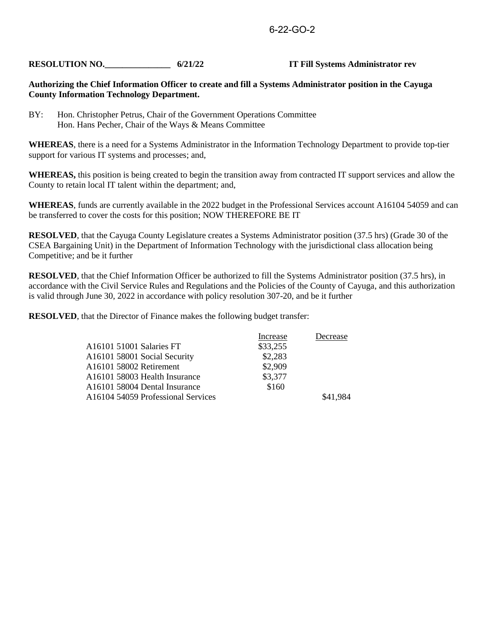## **RESOLUTION NO.** 6/21/22 **IT Fill Systems Administrator rev**

#### **Authorizing the Chief Information Officer to create and fill a Systems Administrator position in the Cayuga County Information Technology Department.**

BY: Hon. Christopher Petrus, Chair of the Government Operations Committee Hon. Hans Pecher, Chair of the Ways & Means Committee

**WHEREAS**, there is a need for a Systems Administrator in the Information Technology Department to provide top-tier support for various IT systems and processes; and,

**WHEREAS,** this position is being created to begin the transition away from contracted IT support services and allow the County to retain local IT talent within the department; and,

**WHEREAS**, funds are currently available in the 2022 budget in the Professional Services account A16104 54059 and can be transferred to cover the costs for this position; NOW THEREFORE BE IT

**RESOLVED**, that the Cayuga County Legislature creates a Systems Administrator position (37.5 hrs) (Grade 30 of the CSEA Bargaining Unit) in the Department of Information Technology with the jurisdictional class allocation being Competitive; and be it further

**RESOLVED**, that the Chief Information Officer be authorized to fill the Systems Administrator position (37.5 hrs), in accordance with the Civil Service Rules and Regulations and the Policies of the County of Cayuga, and this authorization is valid through June 30, 2022 in accordance with policy resolution 307-20, and be it further

**RESOLVED**, that the Director of Finance makes the following budget transfer:

|                                    | Increase | Decrease |
|------------------------------------|----------|----------|
| A16101 51001 Salaries FT           | \$33,255 |          |
| A16101 58001 Social Security       | \$2,283  |          |
| A16101 58002 Retirement            | \$2,909  |          |
| A16101 58003 Health Insurance      | \$3,377  |          |
| A16101 58004 Dental Insurance      | \$160    |          |
| A16104 54059 Professional Services |          | \$41,984 |